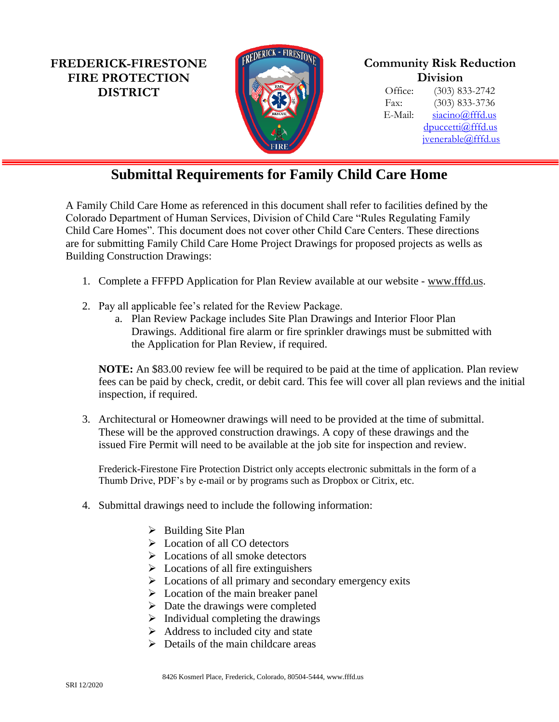**FREDERICK-FIRESTONE FIRE PROTECTION DISTRICT**



## **Community Risk Reduction Division**

Office: (303) 833-2742 Fax: (303) 833-3736 E-Mail: [siacino@fffd.us](mailto:siacino@fffd.us) [dpuccetti@fffd.us](mailto:dpuccetti@fffd.us) ivenerable@fffd.us

## **Submittal Requirements for Family Child Care Home**

A Family Child Care Home as referenced in this document shall refer to facilities defined by the Colorado Department of Human Services, Division of Child Care "Rules Regulating Family Child Care Homes". This document does not cover other Child Care Centers. These directions are for submitting Family Child Care Home Project Drawings for proposed projects as wells as Building Construction Drawings:

- 1. Complete a FFFPD Application for Plan Review available at our website [www.fffd.us.](http://www.fffd.us/)
- 2. Pay all applicable fee's related for the Review Package.
	- a. Plan Review Package includes Site Plan Drawings and Interior Floor Plan Drawings. Additional fire alarm or fire sprinkler drawings must be submitted with the Application for Plan Review, if required.

**NOTE:** An \$83.00 review fee will be required to be paid at the time of application. Plan review fees can be paid by check, credit, or debit card. This fee will cover all plan reviews and the initial inspection, if required.

3. Architectural or Homeowner drawings will need to be provided at the time of submittal. These will be the approved construction drawings. A copy of these drawings and the issued Fire Permit will need to be available at the job site for inspection and review.

Frederick-Firestone Fire Protection District only accepts electronic submittals in the form of a Thumb Drive, PDF's by e-mail or by programs such as Dropbox or Citrix, etc.

- 4. Submittal drawings need to include the following information:
	- ➢ Building Site Plan
	- ➢ Location of all CO detectors
	- ➢ Locations of all smoke detectors
	- $\triangleright$  Locations of all fire extinguishers
	- ➢ Locations of all primary and secondary emergency exits
	- $\triangleright$  Location of the main breaker panel
	- $\triangleright$  Date the drawings were completed
	- $\triangleright$  Individual completing the drawings
	- $\triangleright$  Address to included city and state
	- $\triangleright$  Details of the main childcare areas